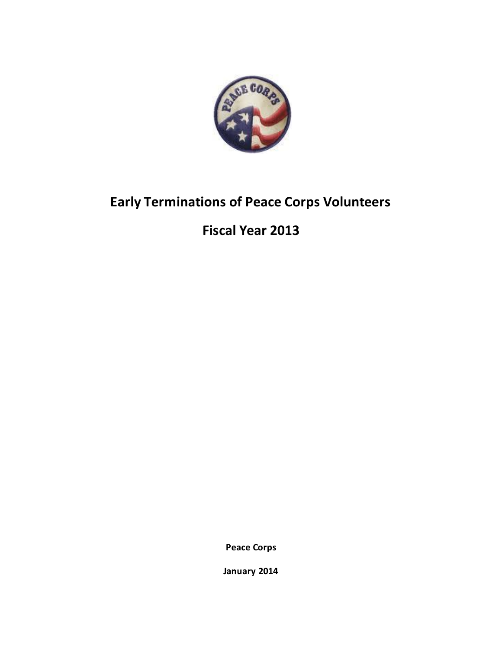

# **Early Terminations of Peace Corps Volunteers**

**Fiscal Year 2013**

**Peace Corps**

**January 2014**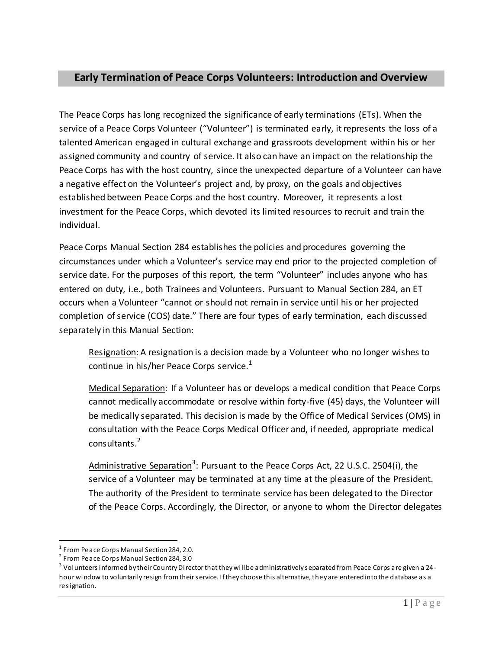# **Early Termination of Peace Corps Volunteers: Introduction and Overview**

The Peace Corps has long recognized the significance of early terminations (ETs). When the service of a Peace Corps Volunteer ("Volunteer") is terminated early, it represents the loss of a talented American engaged in cultural exchange and grassroots development within his or her assigned community and country of service. It also can have an impact on the relationship the Peace Corps has with the host country, since the unexpected departure of a Volunteer can have a negative effect on the Volunteer's project and, by proxy, on the goals and objectives established between Peace Corps and the host country. Moreover, it represents a lost investment for the Peace Corps, which devoted its limited resources to recruit and train the individual.

Peace Corps Manual Section 284 establishes the policies and procedures governing the circumstances under which a Volunteer's service may end prior to the projected completion of service date. For the purposes of this report, the term "Volunteer" includes anyone who has entered on duty, i.e., both Trainees and Volunteers. Pursuant to Manual Section 284, an ET occurs when a Volunteer "cannot or should not remain in service until his or her projected completion of service (COS) date." There are four types of early termination, each discussed separately in this Manual Section:

Resignation: A resignation is a decision made by a Volunteer who no longer wishes to continue in his/her Peace Corps service. $<sup>1</sup>$ </sup>

Medical Separation: If a Volunteer has or develops a medical condition that Peace Corps cannot medically accommodate or resolve within forty-five (45) days, the Volunteer will be medically separated. This decision is made by the Office of Medical Services (OMS) in consultation with the Peace Corps Medical Officer and, if needed, appropriate medical consultants.<sup>2</sup>

Administrative Separation<sup>3</sup>: Pursuant to the Peace Corps Act, 22 U.S.C. 2504(i), the service of a Volunteer may be terminated at any time at the pleasure of the President. The authority of the President to terminate service has been delegated to the Director of the Peace Corps. Accordingly, the Director, or anyone to whom the Director delegates

l

 $^{\rm 1}$  From Peace Corps Manual Section 284, 2.0.

<sup>&</sup>lt;sup>2</sup> From Peace Corps Manual Section 284, 3.0

 $^3$  Volunteers informed by their Country Director that they will be administratively separated from Peace Corps are given a 24hour window to voluntarily resign from their service. If they choose this alternative, they are entered into the database as a resignation.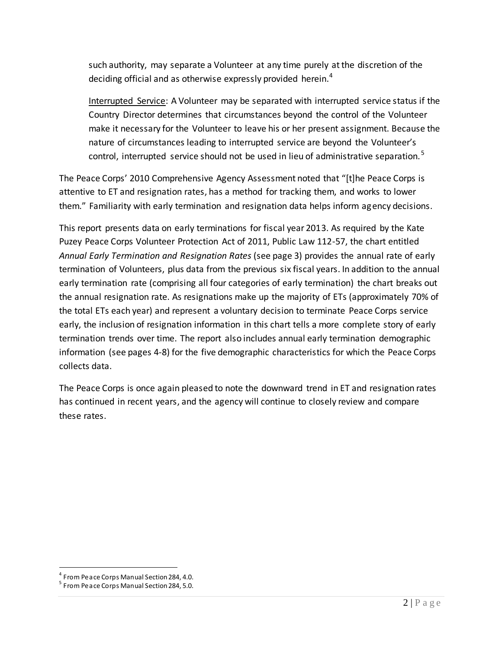such authority, may separate a Volunteer at any time purely at the discretion of the deciding official and as otherwise expressly provided herein. $4$ 

Interrupted Service: A Volunteer may be separated with interrupted service status if the Country Director determines that circumstances beyond the control of the Volunteer make it necessary for the Volunteer to leave his or her present assignment. Because the nature of circumstances leading to interrupted service are beyond the Volunteer's control, interrupted service should not be used in lieu of administrative separation. $5$ 

The Peace Corps' 2010 Comprehensive Agency Assessment noted that "[t]he Peace Corps is attentive to ET and resignation rates, has a method for tracking them, and works to lower them." Familiarity with early termination and resignation data helps inform agency decisions.

This report presents data on early terminations for fiscal year 2013. As required by the Kate Puzey Peace Corps Volunteer Protection Act of 2011, Public Law 112-57, the chart entitled *Annual Early Termination and Resignation Rates* (see page 3) provides the annual rate of early termination of Volunteers, plus data from the previous six fiscal years. In addition to the annual early termination rate (comprising all four categories of early termination) the chart breaks out the annual resignation rate. As resignations make up the majority of ETs (approximately 70% of the total ETs each year) and represent a voluntary decision to terminate Peace Corps service early, the inclusion of resignation information in this chart tells a more complete story of early termination trends over time. The report also includes annual early termination demographic information (see pages 4-8) for the five demographic characteristics for which the Peace Corps collects data.

The Peace Corps is once again pleased to note the downward trend in ET and resignation rates has continued in recent years, and the agency will continue to closely review and compare these rates.

l

<sup>&</sup>lt;sup>4</sup> From Peace Corps Manual Section 284, 4.0.

<sup>&</sup>lt;sup>5</sup> From Peace Corps Manual Section 284, 5.0.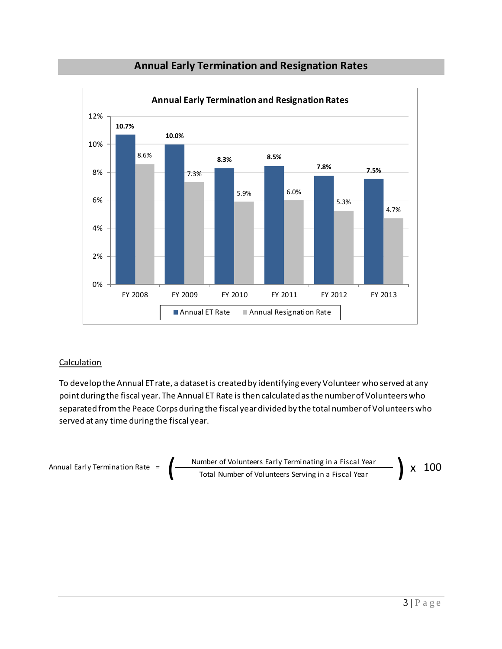

### **Annual Early Termination and Resignation Rates**

#### **Calculation**

To develop the Annual ET rate, a dataset is created by identifying every Volunteer who served at any point during the fiscal year. The Annual ET Rate is then calculated as the number of Volunteers who separated from the Peace Corps during the fiscal yeardivided by the total number of Volunteers who served at any time during the fiscal year.

$$
\text{Annual Early Termination Rate} = \left( \frac{\text{Number of Volumbers Early Terminating in a Fiscal Year}}{\text{Total Number of Volumbers Serving in a Fiscal Year}} \right) \times 100
$$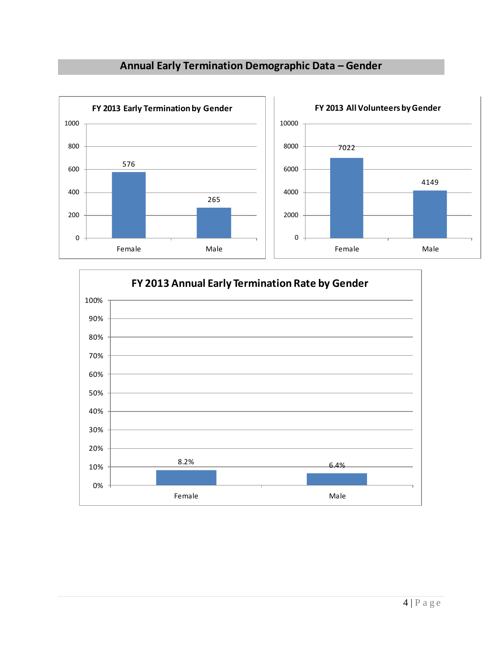# **Annual Early Termination Demographic Data – Gender**



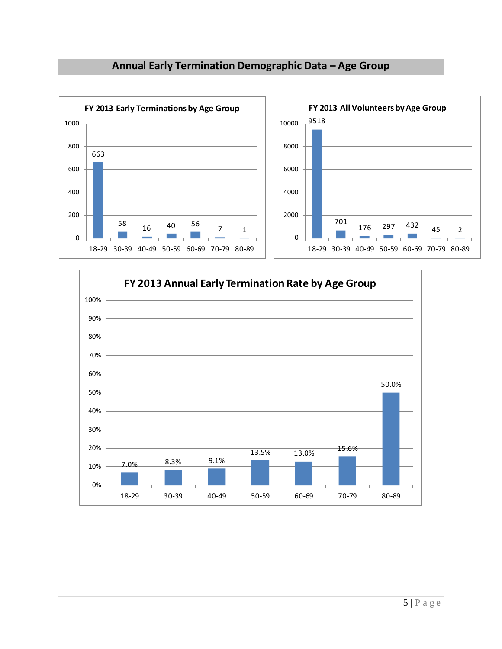



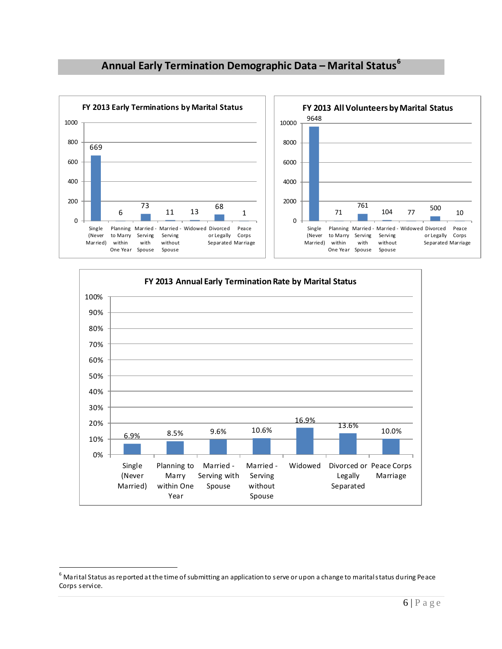# **Annual Early Termination Demographic Data – Marital Status<sup>6</sup>**





l

 $^6$  Marital Status as reported at the time of submitting an application to serve or upon a change to marital status during Peace Corps service.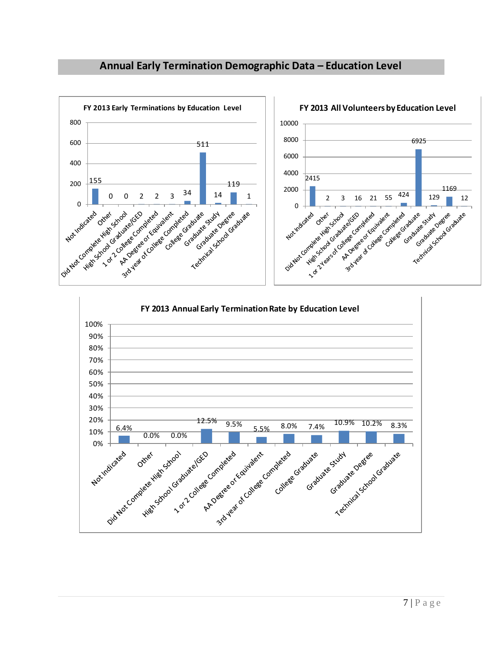# **Annual Early Termination Demographic Data – Education Level**